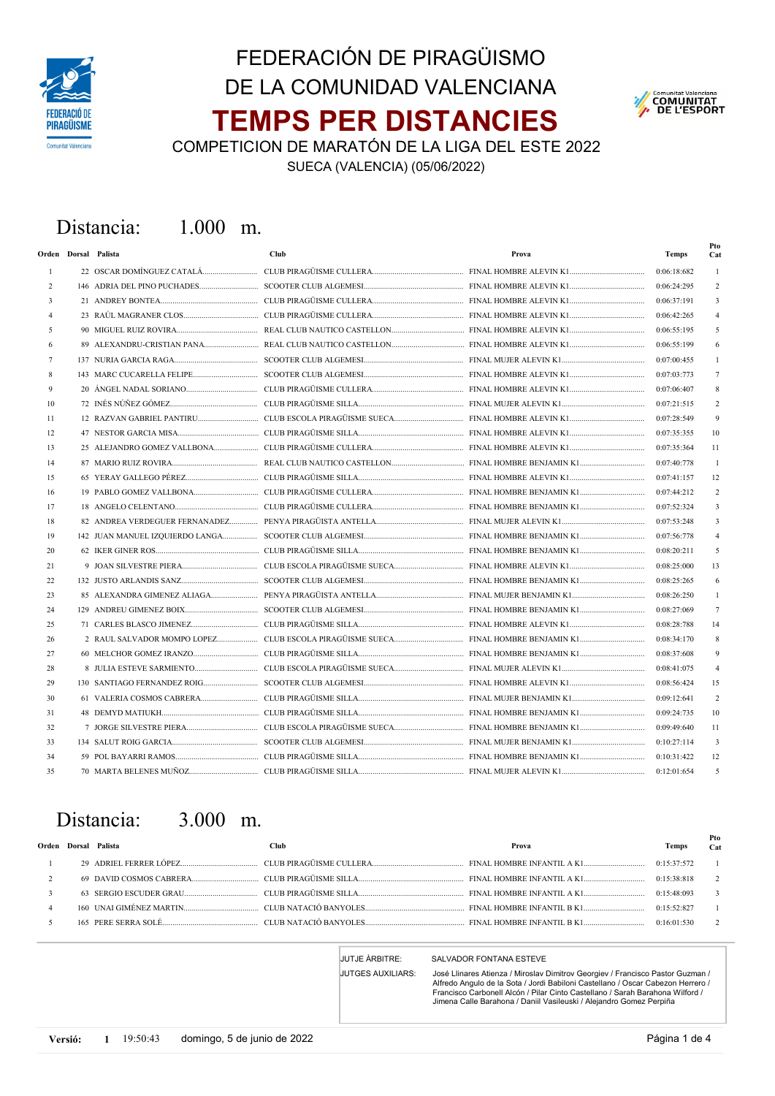

# TEMPS PER DISTANCIES FEDERACIÓN DE PIRAGÜISMO DE LA COMUNIDAD VALENCIANA



COMPETICION DE MARATÓN DE LA LIGA DEL ESTE 2022

SUECA (VALENCIA) (05/06/2022)

### Distancia: 1.000 m.

|    | Orden Dorsal Palista        | <b>Club</b> | Prova | <b>Temps</b> | Pto<br>Cat     |
|----|-----------------------------|-------------|-------|--------------|----------------|
| -1 |                             |             |       | 0:06:18:682  |                |
| 2  |                             |             |       | 0:06:24:295  | 2              |
| 3  |                             |             |       | 0:06:37:191  | 3              |
|    |                             |             |       | 0:06:42:265  |                |
| 5  |                             |             |       | 0:06:55:195  | 5              |
|    | 89 ALEXANDRU-CRISTIAN PANA  |             |       | 0:06:55:199  | 6              |
| 7  |                             |             |       | 0:07:00:455  |                |
| 8  |                             |             |       | 0:07:03:773  | 7              |
| 9  |                             |             |       | 0:07:06:407  | 8              |
| 10 |                             |             |       | 0:07:21:515  | $\overline{c}$ |
| 11 |                             |             |       | 0:07:28:549  | 9              |
| 12 |                             |             |       | 0:07:35:355  | 10             |
| 13 | 25 ALEJANDRO GOMEZ VALLBONA |             |       | 0:07:35:364  | 11             |
| 14 |                             |             |       | 0:07:40:778  | $\mathbf{1}$   |
| 15 |                             |             |       | 0:07:41:157  | 12             |
| 16 |                             |             |       | 0:07:44:212  | $\overline{c}$ |
| 17 |                             |             |       | 0:07:52:324  | 3              |
| 18 |                             |             |       | 0:07:53:248  | 3              |
| 19 |                             |             |       | 0:07:56:778  | 4              |
| 20 |                             |             |       | 0:08:20:211  | 5              |
| 21 |                             |             |       | 0:08:25:000  | 13             |
| 22 |                             |             |       | 0:08:25:265  | 6              |
| 23 | 85 ALEXANDRA GIMENEZ ALIAGA |             |       | 0:08:26:250  |                |
| 24 |                             |             |       | 0:08:27:069  | 7              |
| 25 |                             |             |       | 0:08:28:788  | 14             |
| 26 |                             |             |       | 0:08:34:170  | 8              |
| 27 |                             |             |       | 0:08:37:608  | 9              |
| 28 |                             |             |       | 0:08:41:075  | 4              |
| 29 |                             |             |       | 0:08:56:424  | 15             |
| 30 |                             |             |       | 0:09:12:641  | 2              |
| 31 |                             |             |       | 0:09:24:735  | 10             |
| 32 |                             |             |       | 0:09:49:640  | 11             |
| 33 |                             |             |       | 0:10:27:114  | 3              |
| 34 |                             |             |       | 0:10:31:422  | 12             |
| 35 |                             |             |       | 0:12:01:654  | 5              |

### Distancia: 3.000 m.

|  | Orden Dorsal Palista | Club-                                                                                                                     | Prova | Pto<br>Cat               |
|--|----------------------|---------------------------------------------------------------------------------------------------------------------------|-------|--------------------------|
|  |                      |                                                                                                                           |       |                          |
|  |                      |                                                                                                                           |       | $\overline{\phantom{a}}$ |
|  |                      | 63 SERGIO ESCUDER GRAU (15:48:093) CLUB PIRAGÜISME SILLA (2000) CLUB PIRAGUISME SILLA (2000) CLUB PIRAGUISME SILLA (2000) |       |                          |
|  |                      | 160 UNAI GIMÉNEZ MARTIN (1972-2827) CLUB NATACIÓ BANYOLES (2000) ES (2000) FINAL HOMBRE INFANTIL B K1                     |       |                          |
|  |                      |                                                                                                                           |       | 2                        |

JUTGES AUXILIARS:

#### JUTJE ÀRBITRE: SALVADOR FONTANA ESTEVE

José Llinares Atienza / Miroslav Dimitrov Georgiev / Francisco Pastor Guzman / Alfredo Angulo de la Sota / Jordi Babiloni Castellano / Oscar Cabezon Herrero / Francisco Carbonell Alcón / Pilar Cinto Castellano / Sarah Barahona Wilford / Jimena Calle Barahona / Daniil Vasileuski / Alejandro Gomez Perpiña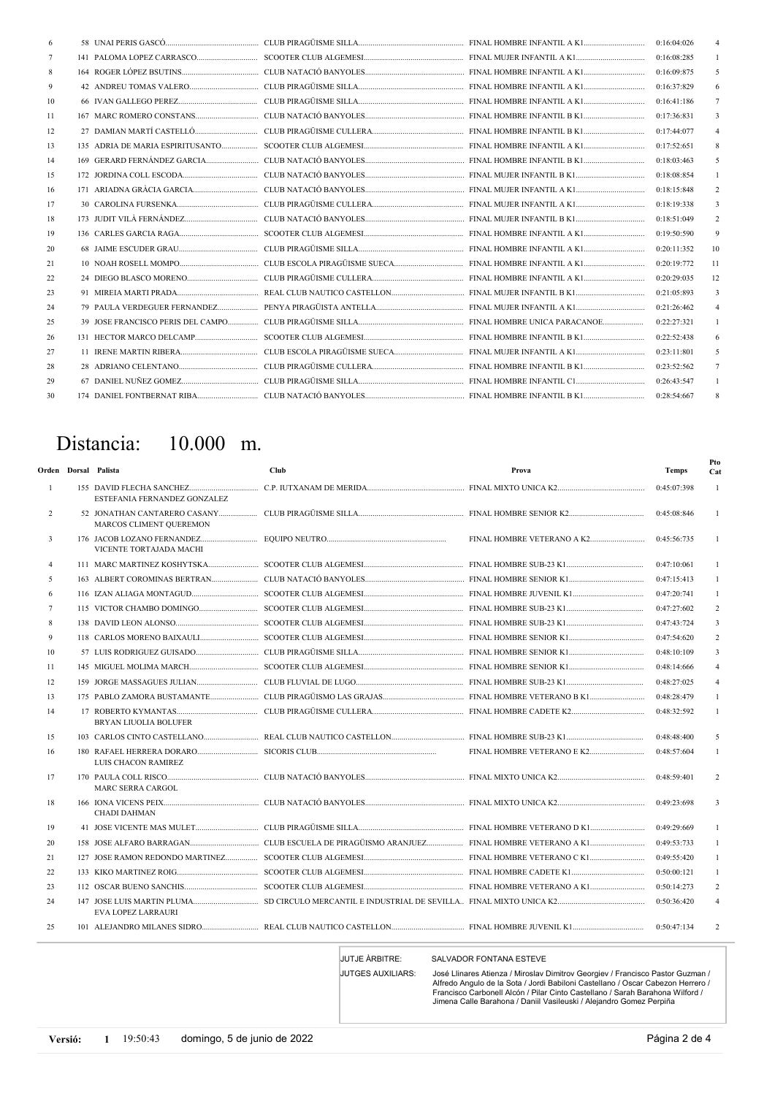|     |  |                                                                                                                                                                                                                                      | 0:16:04:026 |    |
|-----|--|--------------------------------------------------------------------------------------------------------------------------------------------------------------------------------------------------------------------------------------|-------------|----|
| 7   |  |                                                                                                                                                                                                                                      | 0:16:08:285 |    |
| 8   |  |                                                                                                                                                                                                                                      | 0:16:09:875 |    |
| 9   |  |                                                                                                                                                                                                                                      | 0:16:37:829 |    |
| 10  |  |                                                                                                                                                                                                                                      | 0:16:41:186 |    |
| -11 |  |                                                                                                                                                                                                                                      | 0:17:36:831 |    |
| 12  |  |                                                                                                                                                                                                                                      | 0:17:44:077 |    |
| 13  |  |                                                                                                                                                                                                                                      | 0:17:52:651 |    |
| 14  |  |                                                                                                                                                                                                                                      | 0:18:03:463 |    |
| 15  |  |                                                                                                                                                                                                                                      | 0:18:08:854 |    |
| 16  |  |                                                                                                                                                                                                                                      | 0:18:15:848 |    |
| 17  |  |                                                                                                                                                                                                                                      | 0:18:19:338 |    |
| 18  |  |                                                                                                                                                                                                                                      | 0:18:51:049 |    |
| 19  |  |                                                                                                                                                                                                                                      | 0:19:50:590 |    |
| 20  |  |                                                                                                                                                                                                                                      | 0:20:11:352 | 10 |
| 21  |  |                                                                                                                                                                                                                                      | 0:20:19:772 | 11 |
| 22  |  | 24 DIEGO BLASCO MORENO <b>Maria Alexandria Alexandria CLUB PIRAGÜISME CULLERA MARI MARI MARI HOMBRE INFANTIL A K1 MARI MARI MARI MARI ALEXANDRIA ALEXANDRIA ALEXANDRIA ALEXANDRIA ALEXANDRIA ALEXANDRIA ALEXANDRIA ALEXANDRIA AL</b> | 0:20:29:035 | 12 |
| 23  |  |                                                                                                                                                                                                                                      | 0:21:05:893 |    |
| 24  |  |                                                                                                                                                                                                                                      | 0:21:26:462 |    |
| 25  |  |                                                                                                                                                                                                                                      | 0:22:27:321 |    |
| 26  |  |                                                                                                                                                                                                                                      | 0:22:52:438 |    |
| 27  |  |                                                                                                                                                                                                                                      | 0:23:11:801 |    |
| 28  |  |                                                                                                                                                                                                                                      | 0:23:52:562 |    |
| 29  |  |                                                                                                                                                                                                                                      | 0:26:43:547 |    |
| 30  |  |                                                                                                                                                                                                                                      | 0:28:54:667 | 8  |

## Distancia: 10.000 m.

|                | Orden Dorsal Palista                                  | <b>Club</b>                                                    | Prova                      | <b>Temps</b> | Pto<br>Cat     |
|----------------|-------------------------------------------------------|----------------------------------------------------------------|----------------------------|--------------|----------------|
| -1             | ESTEFANIA FERNANDEZ GONZALEZ                          |                                                                |                            | 0:45:07:398  |                |
| 2              | MARCOS CLIMENT QUEREMON                               |                                                                |                            | 0:45:08:846  |                |
| 3              | 176 JACOB LOZANO FERNANDEZ<br>VICENTE TORTAJADA MACHI |                                                                |                            | 0:45:56:735  |                |
| $\overline{4}$ |                                                       |                                                                |                            | 0:47:10:061  |                |
| 5              |                                                       |                                                                |                            | 0:47:15:413  | 1              |
| 6              |                                                       |                                                                |                            | 0:47:20:741  |                |
| 7              |                                                       |                                                                |                            | 0:47:27:602  | 2              |
| 8              |                                                       |                                                                |                            | 0:47:43:724  | 3              |
| 9              |                                                       |                                                                |                            | 0:47:54:620  | 2              |
| 10             |                                                       |                                                                |                            | 0:48:10:109  | 3              |
| -11            |                                                       |                                                                |                            | 0:48:14:666  | 4              |
| 12             |                                                       |                                                                |                            | 0:48:27:025  | $\overline{4}$ |
| 13             |                                                       |                                                                |                            | 0:48:28:479  |                |
| 14             | <b>BRYAN LIUOLIA BOLUFER</b>                          |                                                                |                            | 0:48:32:592  |                |
| 15             |                                                       |                                                                |                            | 0:48:48:400  | 5              |
| 16             | LUIS CHACON RAMIREZ                                   |                                                                | FINAL HOMBRE VETERANO E K2 | 0:48:57:604  | 1              |
| 17             | <b>MARC SERRA CARGOL</b>                              |                                                                |                            | 0:48:59:401  | 2              |
| 18             | <b>CHADI DAHMAN</b>                                   |                                                                |                            | 0:49:23:698  | 3              |
| 19             |                                                       |                                                                |                            | 0:49:29:669  |                |
| 20             |                                                       | CLUB ESCUELA DE PIRAGÜISMO ARANJUEZ FINAL HOMBRE VETERANO A K1 |                            | 0:49:53:733  | 1              |
| 21             | 127 JOSE RAMON REDONDO MARTINEZ                       |                                                                |                            | 0:49:55:420  |                |
| 22             |                                                       |                                                                |                            | 0:50:00:121  | $\mathbf{1}$   |
| 23             |                                                       |                                                                |                            | 0:50:14:273  | 2              |
| 24             | <b>EVA LOPEZ LARRAURI</b>                             |                                                                |                            | 0:50:36:420  |                |
| 25             |                                                       |                                                                |                            | 0:50:47:134  | 2              |

JUTGES AUXILIARS:

### JUTJE ÀRBITRE: SALVADOR FONTANA ESTEVE

José Llinares Atienza / Miroslav Dimitrov Georgiev / Francisco Pastor Guzman /<br>Alfredo Angulo de la Sota / Jordi Babiloni Castellano / Oscar Cabezon Herrero /<br>Francisco Carbonell Alcón / Pilar Cinto Castellano / Sarah Bara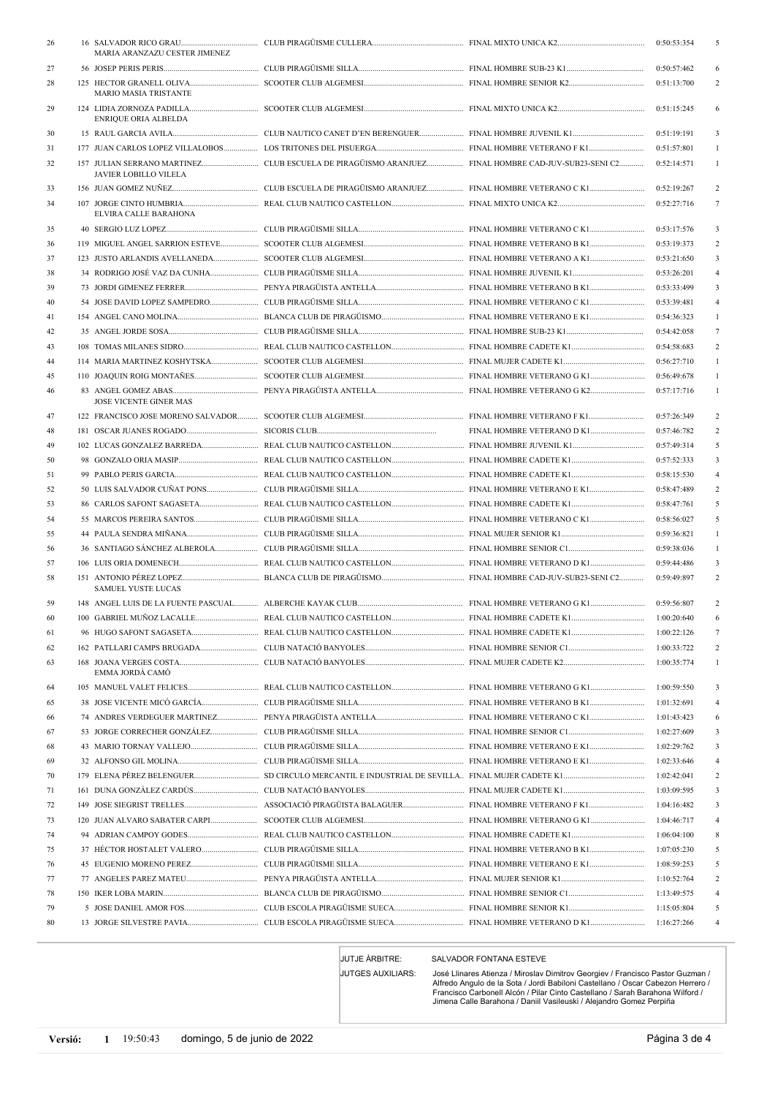| 26       | MARIA ARANZAZU CESTER JIMENEZ |  | 0:50:53:354                | 5                   |
|----------|-------------------------------|--|----------------------------|---------------------|
| 27       |                               |  | 0:50:57:462                | 6                   |
| 28       |                               |  | 0:51:13:700                | 2                   |
|          | <b>MARIO MASIA TRISTANTE</b>  |  |                            |                     |
| 29       |                               |  | 0:51:15:245                | 6                   |
|          | <b>ENRIQUE ORIA ALBELDA</b>   |  |                            |                     |
| 30       |                               |  | 0:51:19:191                | 3                   |
| 31<br>32 |                               |  | 0:51:57:801<br>0:52:14:571 | $\mathbf{1}$        |
|          | JAVIER LOBILLO VILELA         |  |                            |                     |
| 33       |                               |  | 0:52:19:267                | $\overline{c}$      |
| 34       | ELVIRA CALLE BARAHONA         |  | 0:52:27:716                | $\tau$              |
| 35       |                               |  | 0:53:17:576                | 3                   |
| 36       |                               |  | 0:53:19:373                | $\overline{c}$      |
| 37       |                               |  | 0:53:21:650                | 3                   |
| 38       |                               |  | 0:53:26:201                | 4                   |
| 39       |                               |  | 0:53:33:499                | 3                   |
| 40       |                               |  | 0:53:39:481                | $\overline{4}$      |
| 41       |                               |  | 0:54:36:323                | $\mathbf{1}$        |
| 42       |                               |  | 0:54:42:058                | 7                   |
| 43       |                               |  | 0:54:58:683                | $\overline{c}$      |
| 44       |                               |  | 0:56:27:710                | 1                   |
| 45       |                               |  | 0:56:49:678                | 1                   |
| 46       | JOSE VICENTE GINER MAS        |  | 0:57:17:716                | 1                   |
| 47       |                               |  | 0:57:26:349                | 2                   |
| 48       |                               |  | 0:57:46:782                | $\overline{c}$      |
| 49       |                               |  | 0:57:49:314                | 5                   |
| 50       |                               |  | 0:57:52:333                | 3                   |
| 51       |                               |  | 0:58:15:530                | $\overline{4}$      |
| 52       |                               |  | 0:58:47:489                | $\boldsymbol{2}$    |
| 53       |                               |  | 0:58:47:761                | 5                   |
| 54       |                               |  | 0:58:56:027                | 5                   |
| 55       |                               |  | 0:59:36:821                | 1                   |
| 56       |                               |  | 0:59:38:036                | $\mathbf{1}$        |
| 57       |                               |  | 0:59:44:486                | 3                   |
| 58       | <b>SAMUEL YUSTE LUCAS</b>     |  | 0:59:49:897                | 2                   |
| 59       |                               |  | 0:59:56:807                | 2                   |
| 60       |                               |  | 1:00:20:640                | 6                   |
| 61       |                               |  | 1:00:22:126                |                     |
| 62       |                               |  | 1:00:33:722                | 2                   |
| 63       | EMMA JORDA CAMO               |  | 1:00:35:774                | 1                   |
| 64       |                               |  | 1:00:59:550                | 3                   |
| 65       |                               |  | 1:01:32:691                | 4                   |
| 66       |                               |  | 1:01:43:423                | 6                   |
| 67       |                               |  | 1:02:27:609                | 3                   |
| 68       |                               |  | 1:02:29:762                | 3                   |
| 69       |                               |  | 1:02:33:646                | 4<br>$\overline{c}$ |
| 70       |                               |  | 1:02:42:041<br>1:03:09:595 | 3                   |
| 71<br>72 |                               |  | 1:04:16:482                | 3                   |
| 73       |                               |  | 1:04:46:717                | 4                   |
| 74       |                               |  | 1:06:04:100                | 8                   |
| 75       |                               |  | 1:07:05:230                | 5                   |
| 76       |                               |  | 1:08:59:253                | 5                   |
| 77       |                               |  | 1:10:52:764                | 2                   |
| 78       |                               |  | 1:13:49:575                | 4                   |
| 79       |                               |  | 1:15:05:804                | 5                   |
| 80       |                               |  | 1:16:27:266                | 4                   |
|          |                               |  |                            |                     |

JUTGES AUXILIARS:

JUTJE ÀRBITRE: SALVADOR FONTANA ESTEVE

José Llinares Atienza / Miroslav Dimitrov Georgiev / Francisco Pastor Guzman /<br>Alfredo Angulo de la Sota / Jordi Babiloni Castellano / Oscar Cabezon Herrero /<br>Francisco Carbonell Alcón / Pilar Cinto Castellano / Sarah Bara